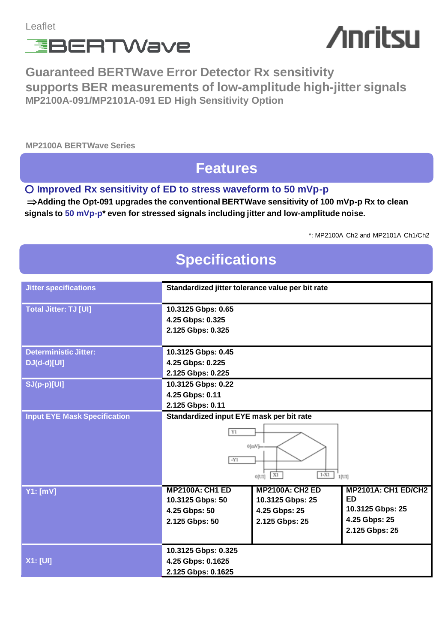

# **Anritsu**

**Guaranteed BERTWave Error Detector Rx sensitivity supports BER measurements of low-amplitude high-jitter signals MP2100A-091/MP2101A-091 ED High Sensitivity Option**

**MP2100A BERTWave Series**

#### **Features**

#### ○ **Improved Rx sensitivity of ED to stress waveform to 50 mVp-p**

**⇒Adding the Opt-091 upgrades the conventional BERTWave sensitivity of 100 mVp-p Rx to clean signals to 50 mVp-p\* even for stressed signals including jitter and low-amplitude noise.**

\*: MP2100A Ch2 and MP2101A Ch1/Ch2

## **Specifications**

| <b>Jitter specifications</b>        | Standardized jitter tolerance value per bit rate |                          |                            |
|-------------------------------------|--------------------------------------------------|--------------------------|----------------------------|
|                                     |                                                  |                          |                            |
| <b>Total Jitter: TJ [UI]</b>        | 10.3125 Gbps: 0.65                               |                          |                            |
|                                     | 4.25 Gbps: 0.325                                 |                          |                            |
|                                     | 2.125 Gbps: 0.325                                |                          |                            |
|                                     |                                                  |                          |                            |
| <b>Deterministic Jitter:</b>        | 10.3125 Gbps: 0.45                               |                          |                            |
| $DJ(d-d)[UI]$                       | 4.25 Gbps: 0.225                                 |                          |                            |
|                                     | 2.125 Gbps: 0.225                                |                          |                            |
| SJ(p-p)[UI]                         | 10.3125 Gbps: 0.22                               |                          |                            |
|                                     | 4.25 Gbps: 0.11                                  |                          |                            |
|                                     | 2.125 Gbps: 0.11                                 |                          |                            |
| <b>Input EYE Mask Specification</b> | Standardized input EYE mask per bit rate         |                          |                            |
|                                     | Y1                                               |                          |                            |
|                                     |                                                  |                          |                            |
|                                     | $0$ [mV]                                         |                          |                            |
|                                     | $-Y1$                                            |                          |                            |
|                                     |                                                  | $1-X1$<br>X1<br>$0$ [UI] | $1$ [UI]                   |
|                                     | <b>MP2100A: CH1 ED</b>                           | <b>MP2100A: CH2 ED</b>   | <b>MP2101A: CH1 ED/CH2</b> |
| Y1: [mV]                            | 10.3125 Gbps: 50                                 | 10.3125 Gbps: 25         | <b>ED</b>                  |
|                                     | 4.25 Gbps: 50                                    | 4.25 Gbps: 25            | 10.3125 Gbps: 25           |
|                                     | 2.125 Gbps: 50                                   | 2.125 Gbps: 25           | 4.25 Gbps: 25              |
|                                     |                                                  |                          | 2.125 Gbps: 25             |
|                                     |                                                  |                          |                            |
|                                     | 10.3125 Gbps: 0.325                              |                          |                            |
| <b>X1: [UI]</b>                     | 4.25 Gbps: 0.1625                                |                          |                            |
|                                     | 2.125 Gbps: 0.1625                               |                          |                            |